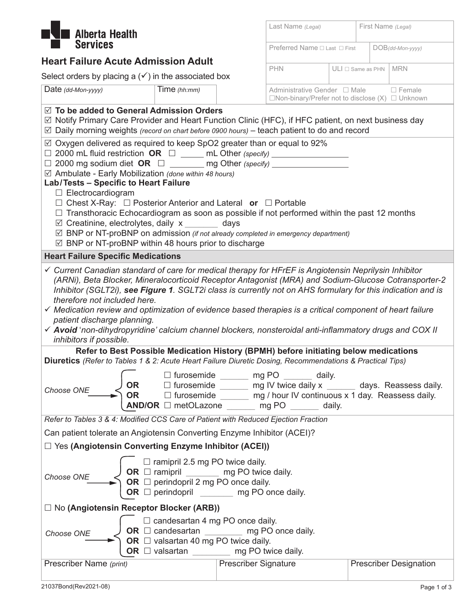

## **Heart Failure Acute Admission Adult**

Select orders by placing a  $(\checkmark)$  in the associated box

| Last Name (Legal)                                                                             |                           |  | First Name (Legal)  |               |  |
|-----------------------------------------------------------------------------------------------|---------------------------|--|---------------------|---------------|--|
| Preferred Name $\Box$ Last $\Box$ First                                                       |                           |  | $DOB$ (dd-Mon-yyyy) |               |  |
| <b>PHN</b>                                                                                    | $ULI \square$ Same as PHN |  |                     | <b>MRN</b>    |  |
| Administrative Gender □ Male<br>$\Box$ Non-binary/Prefer not to disclose $(X)$ $\Box$ Unknown |                           |  |                     | $\Box$ Female |  |

| Date (dd-Mon-yyyy)                                                                                                                                                                                                                                                                                                                                                                                                                                                                                                                                | Time $(hh:mm)$                                                                                                                                                                                                    |                             | Administrative Gender □ Male                                                                               | $\Box$ Female<br>$\Box$ Non-binary/Prefer not to disclose (X) $\Box$ Unknown                                                                                       |  |
|---------------------------------------------------------------------------------------------------------------------------------------------------------------------------------------------------------------------------------------------------------------------------------------------------------------------------------------------------------------------------------------------------------------------------------------------------------------------------------------------------------------------------------------------------|-------------------------------------------------------------------------------------------------------------------------------------------------------------------------------------------------------------------|-----------------------------|------------------------------------------------------------------------------------------------------------|--------------------------------------------------------------------------------------------------------------------------------------------------------------------|--|
| $\boxtimes$ To be added to General Admission Orders<br>$\boxtimes$ Notify Primary Care Provider and Heart Function Clinic (HFC), if HFC patient, on next business day<br>$\boxtimes$ Daily morning weights (record on chart before 0900 hours) – teach patient to do and record                                                                                                                                                                                                                                                                   |                                                                                                                                                                                                                   |                             |                                                                                                            |                                                                                                                                                                    |  |
| $\boxtimes$ Oxygen delivered as required to keep SpO2 greater than or equal to 92%<br>$\Box$ 2000 mL fluid restriction OR $\Box$ _____ mL Other (specify) ________________<br>$\Box$ 2000 mg sodium diet OR $\Box$ ________ mg Other (specify) ___________________<br>⊠ Ambulate - Early Mobilization (done within 48 hours)                                                                                                                                                                                                                      |                                                                                                                                                                                                                   |                             |                                                                                                            |                                                                                                                                                                    |  |
| Lab/Tests - Specific to Heart Failure<br>$\Box$ Electrocardiogram<br>$\Box$ Chest X-Ray: $\Box$ Posterior Anterior and Lateral or $\Box$ Portable<br>$\Box$ Transthoracic Echocardiogram as soon as possible if not performed within the past 12 months<br>$\boxtimes$ Creatinine, electrolytes, daily x days                                                                                                                                                                                                                                     |                                                                                                                                                                                                                   |                             |                                                                                                            |                                                                                                                                                                    |  |
| $\boxtimes$ BNP or NT-proBNP on admission (if not already completed in emergency department)<br>$\boxtimes$ BNP or NT-proBNP within 48 hours prior to discharge                                                                                                                                                                                                                                                                                                                                                                                   |                                                                                                                                                                                                                   |                             |                                                                                                            |                                                                                                                                                                    |  |
| <b>Heart Failure Specific Medications</b>                                                                                                                                                                                                                                                                                                                                                                                                                                                                                                         |                                                                                                                                                                                                                   |                             |                                                                                                            |                                                                                                                                                                    |  |
| √ Current Canadian standard of care for medical therapy for HFrEF is Angiotensin Neprilysin Inhibitor<br>Inhibitor (SGLT2i), see Figure 1. SGLT2i class is currently not on AHS formulary for this indication and is<br>therefore not included here.<br>$\checkmark$ Medication review and optimization of evidence based therapies is a critical component of heart failure<br>patient discharge planning.<br>√ Avoid 'non-dihydropyridine' calcium channel blockers, nonsteroidal anti-inflammatory drugs and COX II<br>inhibitors if possible. |                                                                                                                                                                                                                   |                             |                                                                                                            | (ARNi), Beta Blocker, Mineralocorticoid Receptor Antagonist (MRA) and Sodium-Glucose Cotransporter-2                                                               |  |
|                                                                                                                                                                                                                                                                                                                                                                                                                                                                                                                                                   |                                                                                                                                                                                                                   |                             | Refer to Best Possible Medication History (BPMH) before initiating below medications                       |                                                                                                                                                                    |  |
| Diuretics (Refer to Tables 1 & 2: Acute Heart Failure Diuretic Dosing, Recommendations & Practical Tips)                                                                                                                                                                                                                                                                                                                                                                                                                                          |                                                                                                                                                                                                                   |                             |                                                                                                            |                                                                                                                                                                    |  |
| OR<br>Choose ONE<br><b>OR</b>                                                                                                                                                                                                                                                                                                                                                                                                                                                                                                                     |                                                                                                                                                                                                                   |                             | $\Box$ furosemide $\_\_\_\_\_$ mg PO $\_\_\_\_\_$ daily.<br>AND/OR □ metOLazone ______ mg PO ______ daily. | $\Box$ furosemide $\_\_\_\_\$ mg IV twice daily x $\_\_\_\_\$ days. Reassess daily.<br>$\Box$ furosemide ________ mg / hour IV continuous x 1 day. Reassess daily. |  |
| Refer to Tables 3 & 4: Modified CCS Care of Patient with Reduced Ejection Fraction                                                                                                                                                                                                                                                                                                                                                                                                                                                                |                                                                                                                                                                                                                   |                             |                                                                                                            |                                                                                                                                                                    |  |
| Can patient tolerate an Angiotensin Converting Enzyme Inhibitor (ACEI)?                                                                                                                                                                                                                                                                                                                                                                                                                                                                           |                                                                                                                                                                                                                   |                             |                                                                                                            |                                                                                                                                                                    |  |
| $\Box$ Yes (Angiotensin Converting Enzyme Inhibitor (ACEI))                                                                                                                                                                                                                                                                                                                                                                                                                                                                                       |                                                                                                                                                                                                                   |                             |                                                                                                            |                                                                                                                                                                    |  |
| $\Box$ ramipril 2.5 mg PO twice daily.<br>$\begin{array}{c} \bigcup \textbf{ OR } \Box \text{ ramipril} \begin{array}{c} \qquad \qquad \qquad \text{mg PO twice daily.} \\ \textbf{OR } \Box \text{ perindopril 2 mg PO once daily.} \end{array} \end{array}$<br>Choose ONE                                                                                                                                                                                                                                                                       |                                                                                                                                                                                                                   |                             |                                                                                                            |                                                                                                                                                                    |  |
| □ No (Angiotensin Receptor Blocker (ARB))                                                                                                                                                                                                                                                                                                                                                                                                                                                                                                         |                                                                                                                                                                                                                   |                             |                                                                                                            |                                                                                                                                                                    |  |
| Choose ONE                                                                                                                                                                                                                                                                                                                                                                                                                                                                                                                                        | $\Box$ candesartan 4 mg PO once daily.<br>$\overline{U}$ OR $\Box$ candesartan _________ mg PO once daily.<br>OR $\Box$ valsartan 40 mg PO twice daily.<br>OR $\Box$ valsartan $\_\_\_\_\_\_\$ mg PO twice daily. |                             |                                                                                                            |                                                                                                                                                                    |  |
| Prescriber Name (print)                                                                                                                                                                                                                                                                                                                                                                                                                                                                                                                           |                                                                                                                                                                                                                   | <b>Prescriber Signature</b> |                                                                                                            | <b>Prescriber Designation</b>                                                                                                                                      |  |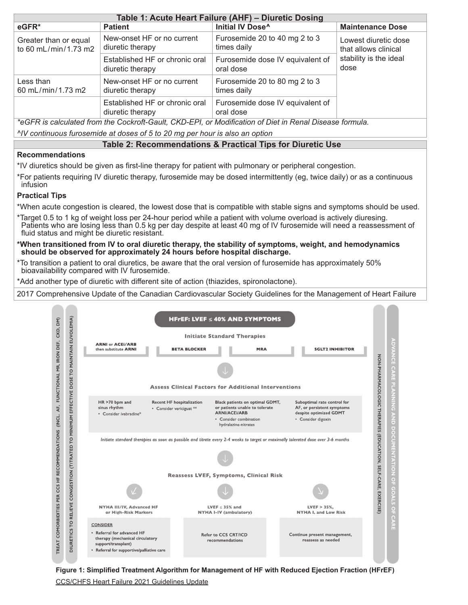|                                               | Table 1: Acute Heart Failure (AHF) - Diuretic Dosing |                                                                                                       |                                              |  |  |  |  |  |
|-----------------------------------------------|------------------------------------------------------|-------------------------------------------------------------------------------------------------------|----------------------------------------------|--|--|--|--|--|
| eGFR*                                         | <b>Patient</b>                                       | Initial IV Dose <sup>^</sup>                                                                          | <b>Maintenance Dose</b>                      |  |  |  |  |  |
| Greater than or equal<br>to 60 mL/min/1.73 m2 | New-onset HF or no current<br>diuretic therapy       | Furosemide 20 to 40 mg 2 to 3<br>times daily                                                          | Lowest diuretic dose<br>that allows clinical |  |  |  |  |  |
|                                               | Established HF or chronic oral<br>diuretic therapy   | Furosemide dose IV equivalent of<br>oral dose                                                         | stability is the ideal<br>dose               |  |  |  |  |  |
| Less than<br>60 mL/min/1.73 m2                | New-onset HF or no current<br>diuretic therapy       | Furosemide 20 to 80 mg 2 to 3<br>times daily                                                          |                                              |  |  |  |  |  |
|                                               | Established HF or chronic oral<br>diuretic therapy   | Furosemide dose IV equivalent of<br>oral dose                                                         |                                              |  |  |  |  |  |
|                                               |                                                      | *eCED is calculated from the Cookraft Cault, CKD EDL or Modification of Diet in Penal Disease formula |                                              |  |  |  |  |  |

*\*eGFR is calculated from the Cockroft-Gault, CKD-EPI, or Modification of Diet in Renal Disease formula. ^IV continuous furosemide at doses of 5 to 20 mg per hour is also an option*

#### **Table 2: Recommendations & Practical Tips for Diuretic Use**

#### **Recommendations**

\*IV diuretics should be given as first-line therapy for patient with pulmonary or peripheral congestion.

\*For patients requiring IV diuretic therapy, furosemide may be dosed intermittently (eg, twice daily) or as a continuous infusion

#### **Practical Tips**

\*When acute congestion is cleared, the lowest dose that is compatible with stable signs and symptoms should be used.

\*Target 0.5 to 1 kg of weight loss per 24-hour period while a patient with volume overload is actively diuresing. Patients who are losing less than 0.5 kg per day despite at least 40 mg of IV furosemide will need a reassessment of fluid status and might be diuretic resistant.

#### **\*When transitioned from IV to oral diuretic therapy, the stability of symptoms, weight, and hemodynamics should be observed for approximately 24 hours before hospital discharge.**

\*To transition a patient to oral diuretics, be aware that the oral version of furosemide has approximately 50% bioavailability compared with IV furosemide.

\*Add another type of diuretic with different site of action (thiazides, spironolactone).

2017 Comprehensive Update of the Canadian Cardiovascular Society Guidelines for the Management of Heart Failure



**Figure 1: Simplified Treatment Algorithm for Management of HF with Reduced Ejection Fraction (HFrEF)**

CCS/CHFS Heart Failure 2021 Guidelines Update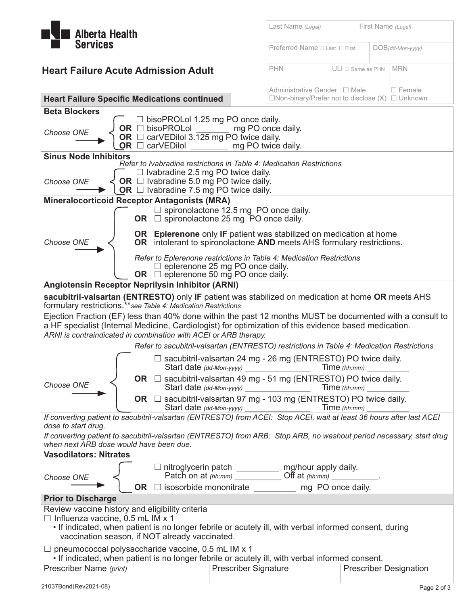

| <b>Alberta Health</b>                                                                                                                                                                                                                      | Last Name (Legal)                                           |                                         | First Name (Legal) |                     |  |  |
|--------------------------------------------------------------------------------------------------------------------------------------------------------------------------------------------------------------------------------------------|-------------------------------------------------------------|-----------------------------------------|--------------------|---------------------|--|--|
| <b>Services</b>                                                                                                                                                                                                                            | Preferred Name □ Last □ First                               |                                         |                    | $DOB$ (dd-Mon-yyyy) |  |  |
| <b>Heart Failure Acute Admission Adult</b>                                                                                                                                                                                                 | <b>PHN</b>                                                  | $ULI \square$ Same as PHN<br><b>MRN</b> |                    |                     |  |  |
|                                                                                                                                                                                                                                            | Administrative Gender □ Male                                |                                         |                    | $\Box$ Female       |  |  |
| <b>Heart Failure Specific Medications continued</b>                                                                                                                                                                                        | $\Box$ Non-binary/Prefer not to disclose (X) $\Box$ Unknown |                                         |                    |                     |  |  |
| <b>Beta Blockers</b><br>$\Box$ bisoPROLol 1.25 mg PO once daily.<br>OR $\Box$ bisoPROLol<br>Choose ONE<br>OR $\Box$ carVEDilol 3.125 mg PO twice daily.                                                                                    | mg PO once daily.                                           |                                         |                    |                     |  |  |
| OR O<br>carVEDilol<br>mg PO twice daily.                                                                                                                                                                                                   |                                                             |                                         |                    |                     |  |  |
| <b>Sinus Node Inhibitors</b><br>Refer to Ivabradine restrictions in Table 4: Medication Restrictions                                                                                                                                       |                                                             |                                         |                    |                     |  |  |
| $\Box$ Ivabradine 2.5 mg PO twice daily.<br>OR $\Box$ Ivabradine 5.0 mg PO twice daily.<br>Choose ONE<br>OR $\Box$ Ivabradine 7.5 mg PO twice daily.                                                                                       |                                                             |                                         |                    |                     |  |  |
| <b>Mineralocorticoid Receptor Antagonists (MRA)</b>                                                                                                                                                                                        |                                                             |                                         |                    |                     |  |  |
| $\Box$ spironolactone 12.5 mg PO once daily.<br>OR $\Box$ spironolactone 25 mg $\overline{P}O$ once daily.                                                                                                                                 |                                                             |                                         |                    |                     |  |  |
| <b>OR</b> Eplerenone only IF patient was stabilized on medication at home<br>Choose ONE<br>OR intolerant to spironolactone AND meets AHS formulary restrictions.                                                                           |                                                             |                                         |                    |                     |  |  |
| Refer to Eplerenone restrictions in Table 4: Medication Restrictions<br>$\Box$ eplerenone 25 mg PO once daily.                                                                                                                             |                                                             |                                         |                    |                     |  |  |
| OR $\Box$ eplerenone 50 mg PO once daily.<br>Angiotensin Receptor Neprilysin Inhibitor (ARNI)                                                                                                                                              |                                                             |                                         |                    |                     |  |  |
|                                                                                                                                                                                                                                            |                                                             |                                         |                    |                     |  |  |
| sacubitril-valsartan (ENTRESTO) only IF patient was stabilized on medication at home OR meets AHS<br>formulary restrictions.** see Table 4: Medication Restrictions                                                                        |                                                             |                                         |                    |                     |  |  |
| Ejection Fraction (EF) less than 40% done within the past 12 months MUST be documented with a consult to                                                                                                                                   |                                                             |                                         |                    |                     |  |  |
| a HF specialist (Internal Medicine, Cardiologist) for optimization of this evidence based medication.                                                                                                                                      |                                                             |                                         |                    |                     |  |  |
| ARNI is contraindicated in combination with ACEI or ARB therapy.                                                                                                                                                                           |                                                             |                                         |                    |                     |  |  |
| Refer to sacubitril-valsartan (ENTRESTO) restrictions in Table 4: Medication Restrictions                                                                                                                                                  |                                                             |                                         |                    |                     |  |  |
| $\Box$ sacubitril-valsartan 24 mg - 26 mg (ENTRESTO) PO twice daily.<br>Start date (dd-Mon-yyyy) _________________                                                                                                                         |                                                             | Time $(hh:mm)$                          |                    |                     |  |  |
| OR $\Box$ sacubitril-valsartan 49 mg - 51 mg (ENTRESTO) PO twice daily.<br>Choose ONE                                                                                                                                                      |                                                             | Time(hh:mm)                             |                    |                     |  |  |
| OR $\Box$ sacubitril-valsartan 97 mg - 103 mg (ENTRESTO) PO twice daily.<br>Start date (dd-Mon-yyyy) Time (hh:mm)<br>If converting patient to sacubitril-valsartan (ENTRESTO) from ACEI: Stop ACEI, wait at least 36 hours after last ACEI |                                                             |                                         |                    |                     |  |  |
| dose to start drug.                                                                                                                                                                                                                        |                                                             |                                         |                    |                     |  |  |
| If converting patient to sacubitril-valsartan (ENTRESTO) from ARB: Stop ARB, no washout period necessary, start drug<br>when next ARB dose would have been due.                                                                            |                                                             |                                         |                    |                     |  |  |
| <b>Vasodilators: Nitrates</b>                                                                                                                                                                                                              |                                                             |                                         |                    |                     |  |  |
| $\Box$ nitroglycerin patch                                                                                                                                                                                                                 | mg/hour apply daily.                                        |                                         |                    |                     |  |  |
| Patch on at $(hh:mm)$<br>Choose ONE                                                                                                                                                                                                        | $\overline{\text{Off}}$ at $(hh:mm)$                        |                                         |                    |                     |  |  |
| $\Box$ isosorbide mononitrate<br>OR.                                                                                                                                                                                                       |                                                             | mg PO once daily.                       |                    |                     |  |  |

#### **Prior to Discharge**

Review vaccine history and eligibility criteria

 $\Box$  Influenza vaccine, 0.5 mL IM x 1

 • If indicated, when patient is no longer febrile or acutely ill, with verbal informed consent, during vaccination season, if NOT already vaccinated.

 $\Box$  pneumococcal polysaccharide vaccine, 0.5 mL IM x 1

• If indicated, when patient is no longer febrile or acutely ill, with verbal informed consent.

| Prescriber Name (print) | Prescriber Signature | <b>Prescriber Designation</b> |
|-------------------------|----------------------|-------------------------------|
|                         |                      |                               |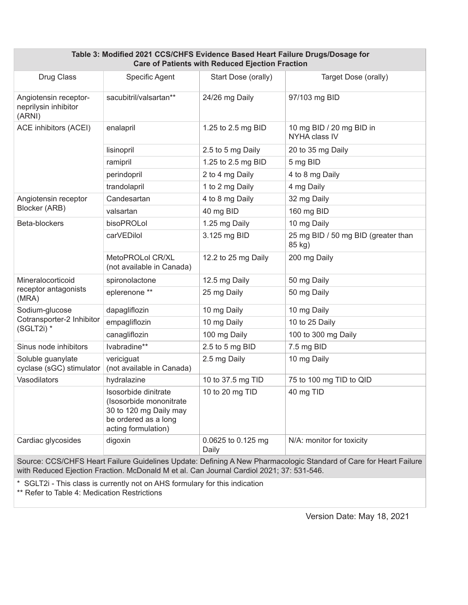| Table 3: Modified 2021 CCS/CHFS Evidence Based Heart Failure Drugs/Dosage for<br><b>Care of Patients with Reduced Ejection Fraction</b> |                                                                                                                          |                             |                                               |  |  |  |
|-----------------------------------------------------------------------------------------------------------------------------------------|--------------------------------------------------------------------------------------------------------------------------|-----------------------------|-----------------------------------------------|--|--|--|
| Drug Class                                                                                                                              | Specific Agent                                                                                                           | Start Dose (orally)         | Target Dose (orally)                          |  |  |  |
| Angiotensin receptor-<br>neprilysin inhibitor<br>(ARNI)                                                                                 | sacubitril/valsartan**                                                                                                   | 24/26 mg Daily              | 97/103 mg BID                                 |  |  |  |
| <b>ACE inhibitors (ACEI)</b>                                                                                                            | enalapril                                                                                                                | 1.25 to 2.5 mg BID          | 10 mg BID / 20 mg BID in<br>NYHA class IV     |  |  |  |
|                                                                                                                                         | lisinopril                                                                                                               | 2.5 to 5 mg Daily           | 20 to 35 mg Daily                             |  |  |  |
|                                                                                                                                         | ramipril                                                                                                                 | 1.25 to 2.5 mg BID          | 5 mg BID                                      |  |  |  |
|                                                                                                                                         | perindopril                                                                                                              | 2 to 4 mg Daily             | 4 to 8 mg Daily                               |  |  |  |
|                                                                                                                                         | trandolapril                                                                                                             | 1 to 2 mg Daily             | 4 mg Daily                                    |  |  |  |
| Angiotensin receptor                                                                                                                    | Candesartan                                                                                                              | 4 to 8 mg Daily             | 32 mg Daily                                   |  |  |  |
| Blocker (ARB)                                                                                                                           | valsartan                                                                                                                | 40 mg BID                   | 160 mg BID                                    |  |  |  |
| Beta-blockers                                                                                                                           | bisoPROLol                                                                                                               | 1.25 mg Daily               | 10 mg Daily                                   |  |  |  |
|                                                                                                                                         | carVEDilol                                                                                                               | 3.125 mg BID                | 25 mg BID / 50 mg BID (greater than<br>85 kg) |  |  |  |
|                                                                                                                                         | MetoPROLol CR/XL<br>(not available in Canada)                                                                            | 12.2 to 25 mg Daily         | 200 mg Daily                                  |  |  |  |
| Mineralocorticoid                                                                                                                       | spironolactone                                                                                                           | 12.5 mg Daily               | 50 mg Daily                                   |  |  |  |
| receptor antagonists<br>(MRA)                                                                                                           | eplerenone **                                                                                                            | 25 mg Daily                 | 50 mg Daily                                   |  |  |  |
| Sodium-glucose                                                                                                                          | dapagliflozin                                                                                                            | 10 mg Daily                 | 10 mg Daily                                   |  |  |  |
| Cotransporter-2 Inhibitor<br>(SGLT2i) *                                                                                                 | empagliflozin                                                                                                            | 10 mg Daily                 | 10 to 25 Daily                                |  |  |  |
|                                                                                                                                         | canagliflozin                                                                                                            | 100 mg Daily                | 100 to 300 mg Daily                           |  |  |  |
| Sinus node inhibitors                                                                                                                   | Ivabradine**                                                                                                             | 2.5 to 5 mg BID             | 7.5 mg BID                                    |  |  |  |
| Soluble guanylate<br>cyclase (sGC) stimulator                                                                                           | vericiguat<br>(not available in Canada)                                                                                  | 2.5 mg Daily                | 10 mg Daily                                   |  |  |  |
| Vasodilators                                                                                                                            | hydralazine                                                                                                              | 10 to 37.5 mg TID           | 75 to 100 mg TID to QID                       |  |  |  |
|                                                                                                                                         | Isosorbide dinitrate<br>(Isosorbide mononitrate<br>30 to 120 mg Daily may<br>be ordered as a long<br>acting formulation) | 10 to 20 mg TID             | 40 mg TID                                     |  |  |  |
| Cardiac glycosides                                                                                                                      | digoxin                                                                                                                  | 0.0625 to 0.125 mg<br>Daily | N/A: monitor for toxicity                     |  |  |  |

Source: CCS/CHFS Heart Failure Guidelines Update: Defining A New Pharmacologic Standard of Care for Heart Failure with Reduced Ejection Fraction. McDonald M et al. Can Journal Cardiol 2021; 37: 531-546.

\* SGLT2i - This class is currently not on AHS formulary for this indication

\*\* Refer to Table 4: Medication Restrictions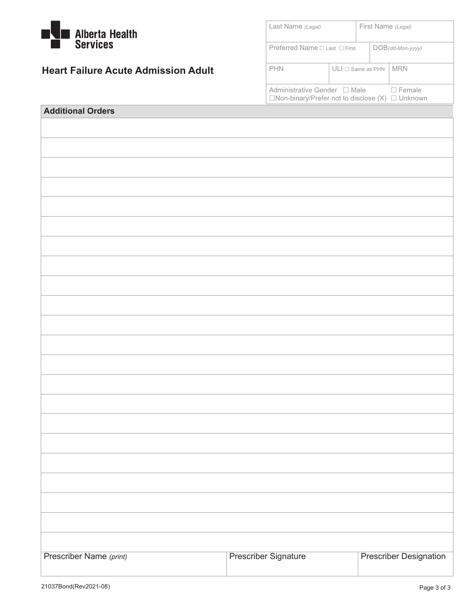| <b>Alberta Health</b>                      | Last Name (Legal)                                                                             |  |                           | First Name (Legal)            |  |  |
|--------------------------------------------|-----------------------------------------------------------------------------------------------|--|---------------------------|-------------------------------|--|--|
| <b>Services</b>                            | Preferred Name □ Last □ First                                                                 |  |                           | $DOB$ (dd-Mon-yyyy)           |  |  |
| <b>Heart Failure Acute Admission Adult</b> | PHN                                                                                           |  | $ULI \square$ Same as PHN | <b>MRN</b>                    |  |  |
|                                            | Administrative Gender □ Male<br>$\Box$ Non-binary/Prefer not to disclose $(X)$ $\Box$ Unknown |  |                           | □ Female                      |  |  |
| <b>Additional Orders</b>                   |                                                                                               |  |                           |                               |  |  |
|                                            |                                                                                               |  |                           |                               |  |  |
|                                            |                                                                                               |  |                           |                               |  |  |
|                                            |                                                                                               |  |                           |                               |  |  |
|                                            |                                                                                               |  |                           |                               |  |  |
|                                            |                                                                                               |  |                           |                               |  |  |
|                                            |                                                                                               |  |                           |                               |  |  |
|                                            |                                                                                               |  |                           |                               |  |  |
|                                            |                                                                                               |  |                           |                               |  |  |
|                                            |                                                                                               |  |                           |                               |  |  |
|                                            |                                                                                               |  |                           |                               |  |  |
|                                            |                                                                                               |  |                           |                               |  |  |
|                                            |                                                                                               |  |                           |                               |  |  |
|                                            |                                                                                               |  |                           |                               |  |  |
|                                            |                                                                                               |  |                           |                               |  |  |
|                                            |                                                                                               |  |                           |                               |  |  |
|                                            |                                                                                               |  |                           |                               |  |  |
|                                            |                                                                                               |  |                           |                               |  |  |
|                                            |                                                                                               |  |                           |                               |  |  |
|                                            |                                                                                               |  |                           |                               |  |  |
|                                            |                                                                                               |  |                           |                               |  |  |
|                                            |                                                                                               |  |                           |                               |  |  |
|                                            |                                                                                               |  |                           |                               |  |  |
| Prescriber Name (print)                    | <b>Prescriber Signature</b>                                                                   |  |                           | <b>Prescriber Designation</b> |  |  |
|                                            |                                                                                               |  |                           |                               |  |  |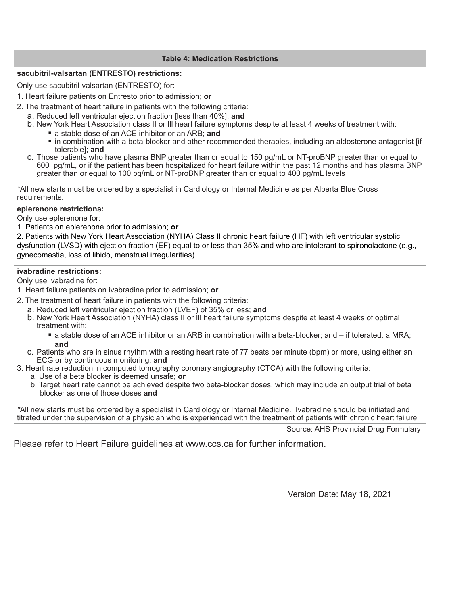#### **Table 4: Medication Restrictions**

#### **sacubitril-valsartan (ENTRESTO) restrictions:**

Only use sacubitril-valsartan (ENTRESTO) for:

- 1. Heart failure patients on Entresto prior to admission; **or**
- 2. The treatment of heart failure in patients with the following criteria:
	- a. Reduced left ventricular ejection fraction [less than 40%]; **and**
	- b. New York Heart Association class II or Ill heart failure symptoms despite at least 4 weeks of treatment with:
		- a stable dose of an ACE inhibitor or an ARB; and
			- in combination with a beta-blocker and other recommended therapies, including an aldosterone antagonist [if tolerable]; **and**
	- c. Those patients who have plasma BNP greater than or equal to 150 pg/mL or NT-proBNP greater than or equal to 600 pg/mL, or if the patient has been hospitalized for heart failure within the past 12 months and has plasma BNP greater than or equal to 100 pg/mL or NT-proBNP greater than or equal to 400 pg/mL levels

*\**All new starts must be ordered by a specialist in Cardiology or Internal Medicine as per Alberta Blue Cross requirements.

#### **eplerenone restrictions:**

Only use eplerenone for:

1. Patients on eplerenone prior to admission; **or**

2. Patients with New York Heart Association (NYHA) Class II chronic heart failure (HF) with left ventricular systolic dysfunction (LVSD) with ejection fraction (EF) equal to or less than 35% and who are intolerant to spironolactone (e.g., gynecomastia, loss of libido, menstrual irregularities)

#### **ivabradine restrictions:**

Only use ivabradine for:

- 1. Heart failure patients on ivabradine prior to admission; **or**
- 2. The treatment of heart failure in patients with the following criteria:
	- a. Reduced left ventricular ejection fraction (LVEF) of 35% or less; **and**
	- b. New York Heart Association (NYHA) class II or Ill heart failure symptoms despite at least 4 weeks of optimal treatment with:
		- a stable dose of an ACE inhibitor or an ARB in combination with a beta-blocker; and if tolerated, a MRA; **and**
	- c. Patients who are in sinus rhythm with a resting heart rate of 77 beats per minute (bpm) or more, using either an ECG or by continuous monitoring; **and**
- 3. Heart rate reduction in computed tomography coronary angiography (CTCA) with the following criteria:
	- a. Use of a beta blocker is deemed unsafe; **or**
	- b. Target heart rate cannot be achieved despite two beta-blocker doses, which may include an output trial of beta blocker as one of those doses **and**

*\**All new starts must be ordered by a specialist in Cardiology or Internal Medicine. Ivabradine should be initiated and titrated under the supervision of a physician who is experienced with the treatment of patients with chronic heart failure

Source: AHS Provincial Drug Formulary

Please refer to Heart Failure guidelines at www.ccs.ca for further information.

Version Date: May 18, 2021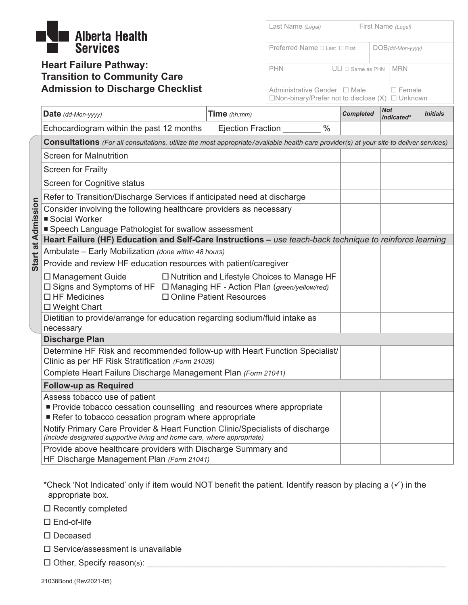# **Alberta Health Services**

## **Heart Failure Pathway: Transition to Community Care Admission to Discharge Checklist**

| Last Name (Legal)                                                                           |                           | First Name (Legal) |  |                     |  |
|---------------------------------------------------------------------------------------------|---------------------------|--------------------|--|---------------------|--|
| Preferred Name $\Box$ Last $\Box$ First                                                     |                           |                    |  | $DOB$ (dd-Mon-yyyy) |  |
| <b>PHN</b>                                                                                  | $ULI \square$ Same as PHN |                    |  | <b>MRN</b>          |  |
| Administrative Gender □ Male<br>$\Box$ Non-binary/Prefer not to disclose (X) $\Box$ Unknown |                           |                    |  | $\Box$ Female       |  |

|                           | Date (dd-Mon-yyyy)                                                                                                                                             | Time $(hh:mm)$                                                               | <b>Completed</b> | <b>Not</b><br>indicated* | <i><b>Initials</b></i> |
|---------------------------|----------------------------------------------------------------------------------------------------------------------------------------------------------------|------------------------------------------------------------------------------|------------------|--------------------------|------------------------|
|                           | Echocardiogram within the past 12 months                                                                                                                       | $\frac{0}{0}$<br>Ejection Fraction                                           |                  |                          |                        |
|                           | <b>Consultations</b> (For all consultations, utilize the most appropriate/available health care provider(s) at your site to deliver services)                  |                                                                              |                  |                          |                        |
|                           | <b>Screen for Malnutrition</b>                                                                                                                                 |                                                                              |                  |                          |                        |
|                           | <b>Screen for Frailty</b>                                                                                                                                      |                                                                              |                  |                          |                        |
|                           | Screen for Cognitive status                                                                                                                                    |                                                                              |                  |                          |                        |
|                           | Refer to Transition/Discharge Services if anticipated need at discharge                                                                                        |                                                                              |                  |                          |                        |
| <b>Start at Admission</b> | Consider involving the following healthcare providers as necessary<br>■ Social Worker<br>■ Speech Language Pathologist for swallow assessment                  |                                                                              |                  |                          |                        |
|                           | Heart Failure (HF) Education and Self-Care Instructions - use teach-back technique to reinforce learning                                                       |                                                                              |                  |                          |                        |
|                           | Ambulate - Early Mobilization (done within 48 hours)                                                                                                           |                                                                              |                  |                          |                        |
|                           | Provide and review HF education resources with patient/caregiver                                                                                               |                                                                              |                  |                          |                        |
|                           | □ Management Guide<br>□ Signs and Symptoms of HF □ Managing HF - Action Plan (green/yellow/red)<br>$\Box$ HF Medicines<br>$\Box$ Weight Chart                  | □ Nutrition and Lifestyle Choices to Manage HF<br>□ Online Patient Resources |                  |                          |                        |
|                           | Dietitian to provide/arrange for education regarding sodium/fluid intake as                                                                                    |                                                                              |                  |                          |                        |
|                           | necessary                                                                                                                                                      |                                                                              |                  |                          |                        |
|                           | <b>Discharge Plan</b><br>Determine HF Risk and recommended follow-up with Heart Function Specialist/                                                           |                                                                              |                  |                          |                        |
|                           | Clinic as per HF Risk Stratification (Form 21039)                                                                                                              |                                                                              |                  |                          |                        |
|                           | Complete Heart Failure Discharge Management Plan (Form 21041)                                                                                                  |                                                                              |                  |                          |                        |
|                           | <b>Follow-up as Required</b>                                                                                                                                   |                                                                              |                  |                          |                        |
|                           | Assess tobacco use of patient<br>Provide tobacco cessation counselling and resources where appropriate<br>Refer to tobacco cessation program where appropriate |                                                                              |                  |                          |                        |
|                           | Notify Primary Care Provider & Heart Function Clinic/Specialists of discharge<br>(include designated supportive living and home care, where appropriate)       |                                                                              |                  |                          |                        |
|                           | Provide above healthcare providers with Discharge Summary and<br>HF Discharge Management Plan (Form 21041)                                                     |                                                                              |                  |                          |                        |

\*Check 'Not Indicated' only if item would NOT benefit the patient. Identify reason by placing a  $(\checkmark)$  in the appropriate box.

 $\square$  Recently completed

□ End-of-life

□ Deceased

- $\square$  Service/assessment is unavailable
- $\square$  Other, Specify reason(s):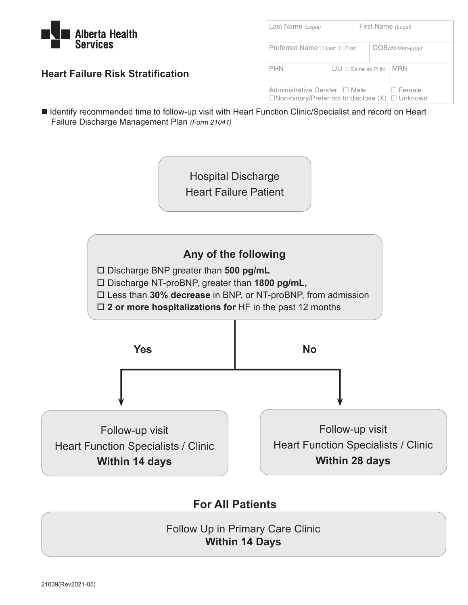

| Last Name (Legal)                                                                             |                          |  | First Name (Legal)  |
|-----------------------------------------------------------------------------------------------|--------------------------|--|---------------------|
| Preferred Name $\sqcap$ Last $\sqcap$ First                                                   |                          |  | $DOB$ (dd-Mon-yyyy) |
| <b>PHN</b>                                                                                    | $ULI \sqcap$ Same as PHN |  | <b>MRN</b>          |
| Administrative Gender □ Male<br>$\Box$ Non-binary/Prefer not to disclose $(X)$ $\Box$ Unknown |                          |  | $\Box$ Female       |

### **Heart Failure Risk Stratification**

■ Identify recommended time to follow-up visit with Heart Function Clinic/Specialist and record on Heart Failure Discharge Management Plan *(Form 21041)*

> Hospital Discharge Heart Failure Patient



# **For All Patients**

Follow Up in Primary Care Clinic **Within 14 Days**